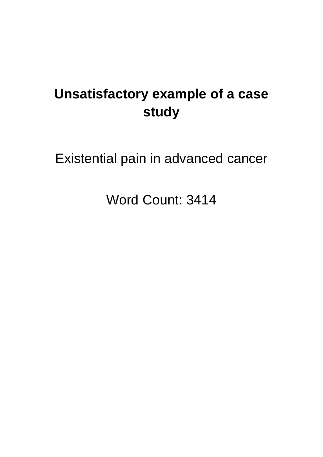# **Unsatisfactory example of a case study**

Existential pain in advanced cancer

Word Count: 3414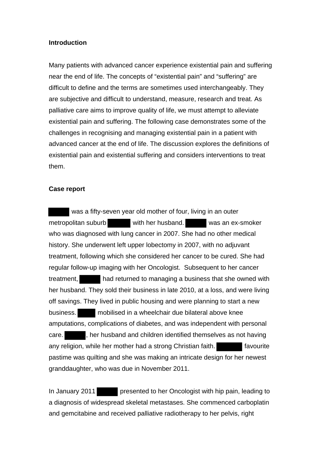### **Introduction**

Many patients with advanced cancer experience existential pain and suffering near the end of life. The concepts of "existential pain" and "suffering" are difficult to define and the terms are sometimes used interchangeably. They are subjective and difficult to understand, measure, research and treat. As palliative care aims to improve quality of life, we must attempt to alleviate existential pain and suffering. The following case demonstrates some of the challenges in recognising and managing existential pain in a patient with advanced cancer at the end of life. The discussion explores the definitions of existential pain and existential suffering and considers interventions to treat them.

### **Case report**

 was a fifty-seven year old mother of four, living in an outer metropolitan suburb with her husband. Was an ex-smoker who was diagnosed with lung cancer in 2007. She had no other medical history. She underwent left upper lobectomy in 2007, with no adjuvant treatment, following which she considered her cancer to be cured. She had regular follow-up imaging with her Oncologist. Subsequent to her cancer treatment, had returned to managing a business that she owned with her husband. They sold their business in late 2010, at a loss, and were living off savings. They lived in public housing and were planning to start a new business. mobilised in a wheelchair due bilateral above knee amputations, complications of diabetes, and was independent with personal care. , her husband and children identified themselves as not having any religion, while her mother had a strong Christian faith. **Fall and the strong Christian** favourite pastime was quilting and she was making an intricate design for her newest granddaughter, who was due in November 2011.

In January 2011 presented to her Oncologist with hip pain, leading to a diagnosis of widespread skeletal metastases. She commenced carboplatin and gemcitabine and received palliative radiotherapy to her pelvis, right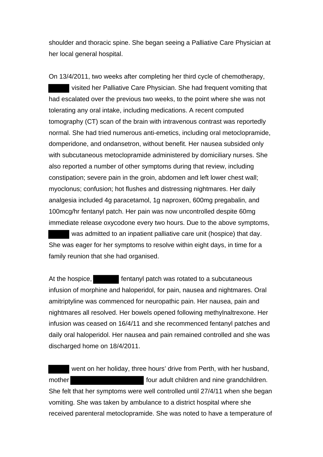shoulder and thoracic spine. She began seeing a Palliative Care Physician at her local general hospital.

On 13/4/2011, two weeks after completing her third cycle of chemotherapy, visited her Palliative Care Physician. She had frequent vomiting that had escalated over the previous two weeks, to the point where she was not tolerating any oral intake, including medications. A recent computed tomography (CT) scan of the brain with intravenous contrast was reportedly normal. She had tried numerous anti-emetics, including oral metoclopramide, domperidone, and ondansetron, without benefit. Her nausea subsided only with subcutaneous metoclopramide administered by domiciliary nurses. She also reported a number of other symptoms during that review, including constipation; severe pain in the groin, abdomen and left lower chest wall; myoclonus; confusion; hot flushes and distressing nightmares. Her daily analgesia included 4g paracetamol, 1g naproxen, 600mg pregabalin, and 100mcg/hr fentanyl patch. Her pain was now uncontrolled despite 60mg immediate release oxycodone every two hours. Due to the above symptoms,

 was admitted to an inpatient palliative care unit (hospice) that day. She was eager for her symptoms to resolve within eight days, in time for a family reunion that she had organised.

At the hospice, **Figure 1** fentanyl patch was rotated to a subcutaneous infusion of morphine and haloperidol, for pain, nausea and nightmares. Oral amitriptyline was commenced for neuropathic pain. Her nausea, pain and nightmares all resolved. Her bowels opened following methylnaltrexone. Her infusion was ceased on 16/4/11 and she recommenced fentanyl patches and daily oral haloperidol. Her nausea and pain remained controlled and she was discharged home on 18/4/2011.

 went on her holiday, three hours' drive from Perth, with her husband, mother **four adult children and nine grandchildren.** She felt that her symptoms were well controlled until 27/4/11 when she began vomiting. She was taken by ambulance to a district hospital where she received parenteral metoclopramide. She was noted to have a temperature of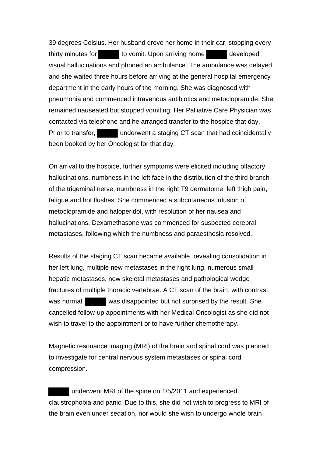39 degrees Celsius. Her husband drove her home in their car, stopping every thirty minutes for to vomit. Upon arriving home developed visual hallucinations and phoned an ambulance. The ambulance was delayed and she waited three hours before arriving at the general hospital emergency department in the early hours of the morning. She was diagnosed with pneumonia and commenced intravenous antibiotics and metoclopramide. She remained nauseated but stopped vomiting. Her Palliative Care Physician was contacted via telephone and he arranged transfer to the hospice that day. Prior to transfer, underwent a staging CT scan that had coincidentally been booked by her Oncologist for that day.

On arrival to the hospice, further symptoms were elicited including olfactory hallucinations, numbness in the left face in the distribution of the third branch of the trigeminal nerve, numbness in the right T9 dermatome, left thigh pain, fatigue and hot flushes. She commenced a subcutaneous infusion of metoclopramide and haloperidol, with resolution of her nausea and hallucinations. Dexamethasone was commenced for suspected cerebral metastases, following which the numbness and paraesthesia resolved.

Results of the staging CT scan became available, revealing consolidation in her left lung, multiple new metastases in the right lung, numerous small hepatic metastases, new skeletal metastases and pathological wedge fractures of multiple thoracic vertebrae. A CT scan of the brain, with contrast, was normal. was disappointed but not surprised by the result. She cancelled follow-up appointments with her Medical Oncologist as she did not wish to travel to the appointment or to have further chemotherapy.

Magnetic resonance imaging (MRI) of the brain and spinal cord was planned to investigate for central nervous system metastases or spinal cord compression.

 underwent MRI of the spine on 1/5/2011 and experienced claustrophobia and panic. Due to this, she did not wish to progress to MRI of the brain even under sedation, nor would she wish to undergo whole brain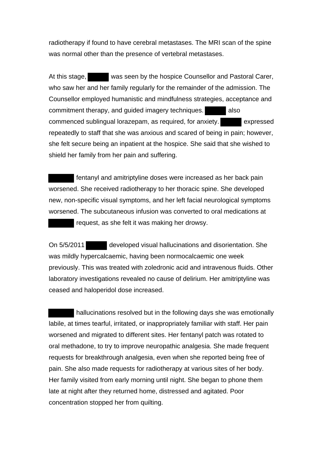radiotherapy if found to have cerebral metastases. The MRI scan of the spine was normal other than the presence of vertebral metastases.

At this stage, was seen by the hospice Counsellor and Pastoral Carer, who saw her and her family regularly for the remainder of the admission. The Counsellor employed humanistic and mindfulness strategies, acceptance and commitment therapy, and guided imagery techniques. also commenced sublingual lorazepam, as required, for anxiety. expressed repeatedly to staff that she was anxious and scared of being in pain; however, she felt secure being an inpatient at the hospice. She said that she wished to shield her family from her pain and suffering.

 fentanyl and amitriptyline doses were increased as her back pain worsened. She received radiotherapy to her thoracic spine. She developed new, non-specific visual symptoms, and her left facial neurological symptoms worsened. The subcutaneous infusion was converted to oral medications at request, as she felt it was making her drowsy.

On 5/5/2011 developed visual hallucinations and disorientation. She was mildly hypercalcaemic, having been normocalcaemic one week previously. This was treated with zoledronic acid and intravenous fluids. Other laboratory investigations revealed no cause of delirium. Her amitriptyline was ceased and haloperidol dose increased.

 hallucinations resolved but in the following days she was emotionally labile, at times tearful, irritated, or inappropriately familiar with staff. Her pain worsened and migrated to different sites. Her fentanyl patch was rotated to oral methadone, to try to improve neuropathic analgesia. She made frequent requests for breakthrough analgesia, even when she reported being free of pain. She also made requests for radiotherapy at various sites of her body. Her family visited from early morning until night. She began to phone them late at night after they returned home, distressed and agitated. Poor concentration stopped her from quilting.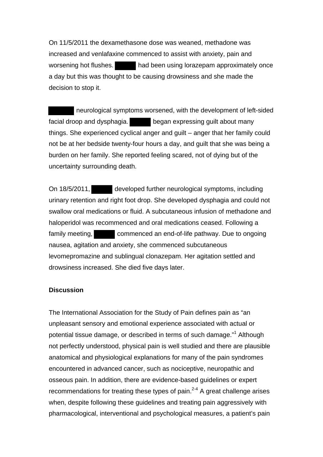On 11/5/2011 the dexamethasone dose was weaned, methadone was increased and venlafaxine commenced to assist with anxiety, pain and worsening hot flushes. had been using lorazepam approximately once a day but this was thought to be causing drowsiness and she made the decision to stop it.

 neurological symptoms worsened, with the development of left-sided facial droop and dysphagia. began expressing guilt about many things. She experienced cyclical anger and guilt – anger that her family could not be at her bedside twenty-four hours a day, and guilt that she was being a burden on her family. She reported feeling scared, not of dying but of the uncertainty surrounding death.

On 18/5/2011, developed further neurological symptoms, including urinary retention and right foot drop. She developed dysphagia and could not swallow oral medications or fluid. A subcutaneous infusion of methadone and haloperidol was recommenced and oral medications ceased. Following a family meeting, commenced an end-of-life pathway. Due to ongoing nausea, agitation and anxiety, she commenced subcutaneous levomepromazine and sublingual clonazepam. Her agitation settled and drowsiness increased. She died five days later.

# **Discussion**

The International Association for the Study of Pain defines pain as "an unpleasant sensory and emotional experience associated with actual or potential tissue damage, or described in terms of such damage."<sup>1</sup> Although not perfectly understood, physical pain is well studied and there are plausible anatomical and physiological explanations for many of the pain syndromes encountered in advanced cancer, such as nociceptive, neuropathic and osseous pain. In addition, there are evidence-based guidelines or expert recommendations for treating these types of pain. $2-4$  A great challenge arises when, despite following these guidelines and treating pain aggressively with pharmacological, interventional and psychological measures, a patient's pain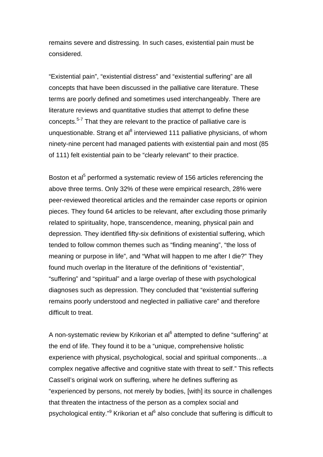remains severe and distressing. In such cases, existential pain must be considered.

"Existential pain", "existential distress" and "existential suffering" are all concepts that have been discussed in the palliative care literature. These terms are poorly defined and sometimes used interchangeably. There are literature reviews and quantitative studies that attempt to define these concepts.<sup>5-7</sup> That they are relevant to the practice of palliative care is unquestionable. Strang et al<sup>8</sup> interviewed 111 palliative physicians, of whom ninety-nine percent had managed patients with existential pain and most (85 of 111) felt existential pain to be "clearly relevant" to their practice.

Boston et al<sup>5</sup> performed a systematic review of 156 articles referencing the above three terms. Only 32% of these were empirical research, 28% were peer-reviewed theoretical articles and the remainder case reports or opinion pieces. They found 64 articles to be relevant, after excluding those primarily related to spirituality, hope, transcendence, meaning, physical pain and depression. They identified fifty-six definitions of existential suffering, which tended to follow common themes such as "finding meaning", "the loss of meaning or purpose in life", and "What will happen to me after I die?" They found much overlap in the literature of the definitions of "existential", "suffering" and "spiritual" and a large overlap of these with psychological diagnoses such as depression. They concluded that "existential suffering remains poorly understood and neglected in palliative care" and therefore difficult to treat.

A non-systematic review by Krikorian et al<sup>6</sup> attempted to define "suffering" at the end of life. They found it to be a "unique, comprehensive holistic experience with physical, psychological, social and spiritual components…a complex negative affective and cognitive state with threat to self." This reflects Cassell's original work on suffering, where he defines suffering as "experienced by persons, not merely by bodies, [with] its source in challenges that threaten the intactness of the person as a complex social and psychological entity."<sup>9</sup> Krikorian et al<sup>6</sup> also conclude that suffering is difficult to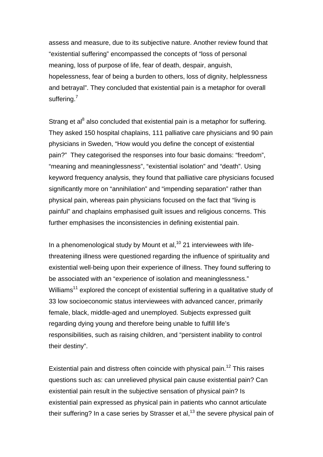assess and measure, due to its subjective nature. Another review found that "existential suffering" encompassed the concepts of "loss of personal meaning, loss of purpose of life, fear of death, despair, anguish, hopelessness, fear of being a burden to others, loss of dignity, helplessness and betrayal". They concluded that existential pain is a metaphor for overall suffering.<sup>7</sup>

Strang et al<sup>8</sup> also concluded that existential pain is a metaphor for suffering. They asked 150 hospital chaplains, 111 palliative care physicians and 90 pain physicians in Sweden, "How would you define the concept of existential pain?" They categorised the responses into four basic domains: "freedom", "meaning and meaninglessness", "existential isolation" and "death". Using keyword frequency analysis, they found that palliative care physicians focused significantly more on "annihilation" and "impending separation" rather than physical pain, whereas pain physicians focused on the fact that "living is painful" and chaplains emphasised guilt issues and religious concerns. This further emphasises the inconsistencies in defining existential pain.

In a phenomenological study by Mount et al, $10$  21 interviewees with lifethreatening illness were questioned regarding the influence of spirituality and existential well-being upon their experience of illness. They found suffering to be associated with an "experience of isolation and meaninglessness." Williams<sup>11</sup> explored the concept of existential suffering in a qualitative study of 33 low socioeconomic status interviewees with advanced cancer, primarily female, black, middle-aged and unemployed. Subjects expressed guilt regarding dying young and therefore being unable to fulfill life's responsibilities, such as raising children, and "persistent inability to control their destiny".

Existential pain and distress often coincide with physical pain.<sup>12</sup> This raises questions such as: can unrelieved physical pain cause existential pain? Can existential pain result in the subjective sensation of physical pain? Is existential pain expressed as physical pain in patients who cannot articulate their suffering? In a case series by Strasser et al,  $13$  the severe physical pain of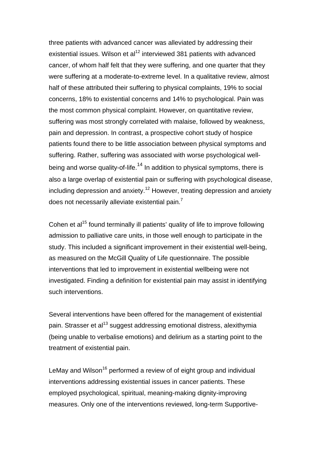three patients with advanced cancer was alleviated by addressing their existential issues. Wilson et al<sup>12</sup> interviewed 381 patients with advanced cancer, of whom half felt that they were suffering, and one quarter that they were suffering at a moderate-to-extreme level. In a qualitative review, almost half of these attributed their suffering to physical complaints, 19% to social concerns, 18% to existential concerns and 14% to psychological. Pain was the most common physical complaint. However, on quantitative review, suffering was most strongly correlated with malaise, followed by weakness, pain and depression. In contrast, a prospective cohort study of hospice patients found there to be little association between physical symptoms and suffering. Rather, suffering was associated with worse psychological wellbeing and worse quality-of-life.<sup>14</sup> In addition to physical symptoms, there is also a large overlap of existential pain or suffering with psychological disease, including depression and anxiety.<sup>12</sup> However, treating depression and anxiety does not necessarily alleviate existential pain. $<sup>7</sup>$ </sup>

Cohen et al<sup>15</sup> found terminally ill patients' quality of life to improve following admission to palliative care units, in those well enough to participate in the study. This included a significant improvement in their existential well-being, as measured on the McGill Quality of Life questionnaire. The possible interventions that led to improvement in existential wellbeing were not investigated. Finding a definition for existential pain may assist in identifying such interventions.

Several interventions have been offered for the management of existential pain. Strasser et al<sup>13</sup> suggest addressing emotional distress, alexithymia (being unable to verbalise emotions) and delirium as a starting point to the treatment of existential pain.

LeMay and Wilson<sup>16</sup> performed a review of of eight group and individual interventions addressing existential issues in cancer patients. These employed psychological, spiritual, meaning-making dignity-improving measures. Only one of the interventions reviewed, long-term Supportive-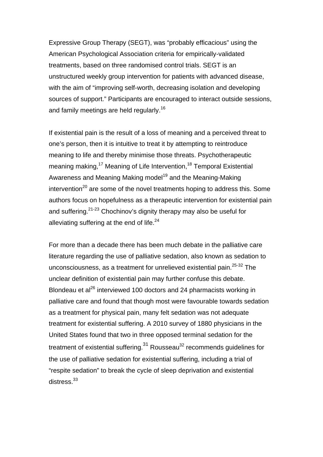Expressive Group Therapy (SEGT), was "probably efficacious" using the American Psychological Association criteria for empirically-validated treatments, based on three randomised control trials. SEGT is an unstructured weekly group intervention for patients with advanced disease, with the aim of "improving self-worth, decreasing isolation and developing sources of support." Participants are encouraged to interact outside sessions, and family meetings are held regularly.<sup>16</sup>

If existential pain is the result of a loss of meaning and a perceived threat to one's person, then it is intuitive to treat it by attempting to reintroduce meaning to life and thereby minimise those threats. Psychotherapeutic meaning making,<sup>17</sup> Meaning of Life Intervention,<sup>18</sup> Temporal Existential Awareness and Meaning Making model<sup>19</sup> and the Meaning-Making intervention<sup>20</sup> are some of the novel treatments hoping to address this. Some authors focus on hopefulness as a therapeutic intervention for existential pain and suffering. $21-23$  Chochinov's dignity therapy may also be useful for alleviating suffering at the end of life. $24$ 

For more than a decade there has been much debate in the palliative care literature regarding the use of palliative sedation, also known as sedation to unconsciousness, as a treatment for unrelieved existential pain.<sup>25-32</sup> The unclear definition of existential pain may further confuse this debate. Blondeau et al<sup>26</sup> interviewed 100 doctors and 24 pharmacists working in palliative care and found that though most were favourable towards sedation as a treatment for physical pain, many felt sedation was not adequate treatment for existential suffering. A 2010 survey of 1880 physicians in the United States found that two in three opposed terminal sedation for the treatment of existential suffering. $31$  Rousseau $32$  recommends guidelines for the use of palliative sedation for existential suffering, including a trial of "respite sedation" to break the cycle of sleep deprivation and existential distress.<sup>33</sup>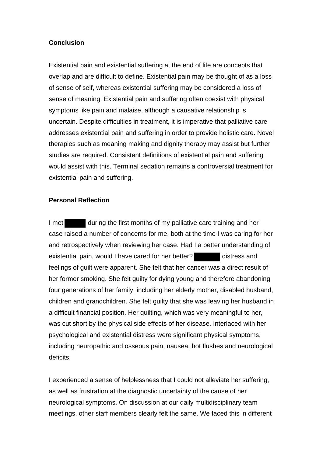# **Conclusion**

Existential pain and existential suffering at the end of life are concepts that overlap and are difficult to define. Existential pain may be thought of as a loss of sense of self, whereas existential suffering may be considered a loss of sense of meaning. Existential pain and suffering often coexist with physical symptoms like pain and malaise, although a causative relationship is uncertain. Despite difficulties in treatment, it is imperative that palliative care addresses existential pain and suffering in order to provide holistic care. Novel therapies such as meaning making and dignity therapy may assist but further studies are required. Consistent definitions of existential pain and suffering would assist with this. Terminal sedation remains a controversial treatment for existential pain and suffering.

### **Personal Reflection**

I met during the first months of my palliative care training and her case raised a number of concerns for me, both at the time I was caring for her and retrospectively when reviewing her case. Had I a better understanding of existential pain, would I have cared for her better? distress and feelings of guilt were apparent. She felt that her cancer was a direct result of her former smoking. She felt guilty for dying young and therefore abandoning four generations of her family, including her elderly mother, disabled husband, children and grandchildren. She felt guilty that she was leaving her husband in a difficult financial position. Her quilting, which was very meaningful to her, was cut short by the physical side effects of her disease. Interlaced with her psychological and existential distress were significant physical symptoms, including neuropathic and osseous pain, nausea, hot flushes and neurological deficits.

I experienced a sense of helplessness that I could not alleviate her suffering, as well as frustration at the diagnostic uncertainty of the cause of her neurological symptoms. On discussion at our daily multidisciplinary team meetings, other staff members clearly felt the same. We faced this in different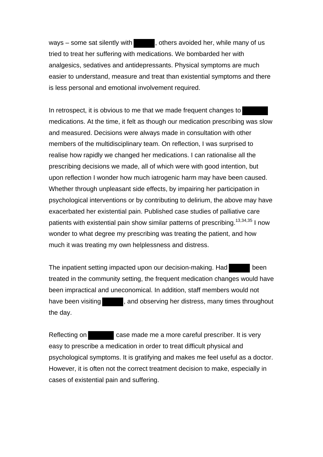ways – some sat silently with  $\blacksquare$ , others avoided her, while many of us tried to treat her suffering with medications. We bombarded her with analgesics, sedatives and antidepressants. Physical symptoms are much easier to understand, measure and treat than existential symptoms and there is less personal and emotional involvement required.

In retrospect, it is obvious to me that we made frequent changes to medications. At the time, it felt as though our medication prescribing was slow and measured. Decisions were always made in consultation with other members of the multidisciplinary team. On reflection, I was surprised to realise how rapidly we changed her medications. I can rationalise all the prescribing decisions we made, all of which were with good intention, but upon reflection I wonder how much iatrogenic harm may have been caused. Whether through unpleasant side effects, by impairing her participation in psychological interventions or by contributing to delirium, the above may have exacerbated her existential pain. Published case studies of palliative care patients with existential pain show similar patterns of prescribing.<sup>13,34,35</sup> I now wonder to what degree my prescribing was treating the patient, and how much it was treating my own helplessness and distress.

The inpatient setting impacted upon our decision-making. Had been treated in the community setting, the frequent medication changes would have been impractical and uneconomical. In addition, staff members would not have been visiting  $\Box$ , and observing her distress, many times throughout the day.

Reflecting on **case made me a more careful prescriber.** It is very easy to prescribe a medication in order to treat difficult physical and psychological symptoms. It is gratifying and makes me feel useful as a doctor. However, it is often not the correct treatment decision to make, especially in cases of existential pain and suffering.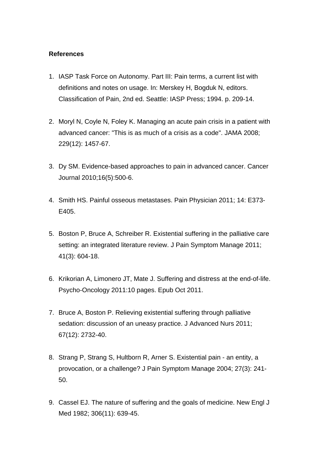# **References**

- 1. IASP Task Force on Autonomy. Part III: Pain terms, a current list with definitions and notes on usage. In: Merskey H, Bogduk N, editors. Classification of Pain, 2nd ed. Seattle: IASP Press; 1994. p. 209-14.
- 2. Moryl N, Coyle N, Foley K. Managing an acute pain crisis in a patient with advanced cancer: "This is as much of a crisis as a code". JAMA 2008; 229(12): 1457-67.
- 3. Dy SM. Evidence-based approaches to pain in advanced cancer. Cancer Journal 2010;16(5):500-6.
- 4. Smith HS. Painful osseous metastases. Pain Physician 2011; 14: E373- E405.
- 5. Boston P, Bruce A, Schreiber R. Existential suffering in the palliative care setting: an integrated literature review. J Pain Symptom Manage 2011; 41(3): 604-18.
- 6. Krikorian A, Limonero JT, Mate J. Suffering and distress at the end-of-life. Psycho-Oncology 2011:10 pages. Epub Oct 2011.
- 7. Bruce A, Boston P. Relieving existential suffering through palliative sedation: discussion of an uneasy practice. J Advanced Nurs 2011; 67(12): 2732-40.
- 8. Strang P, Strang S, Hultborn R, Arner S. Existential pain an entity, a provocation, or a challenge? J Pain Symptom Manage 2004; 27(3): 241- 50.
- 9. Cassel EJ. The nature of suffering and the goals of medicine. New Engl J Med 1982; 306(11): 639-45.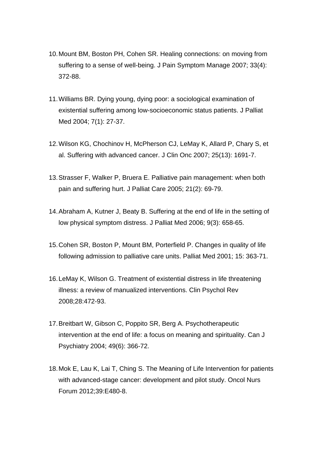- 10.Mount BM, Boston PH, Cohen SR. Healing connections: on moving from suffering to a sense of well-being. J Pain Symptom Manage 2007; 33(4): 372-88.
- 11.Williams BR. Dying young, dying poor: a sociological examination of existential suffering among low-socioeconomic status patients. J Palliat Med 2004; 7(1): 27-37.
- 12.Wilson KG, Chochinov H, McPherson CJ, LeMay K, Allard P, Chary S, et al. Suffering with advanced cancer. J Clin Onc 2007; 25(13): 1691-7.
- 13.Strasser F, Walker P, Bruera E. Palliative pain management: when both pain and suffering hurt. J Palliat Care 2005; 21(2): 69-79.
- 14.Abraham A, Kutner J, Beaty B. Suffering at the end of life in the setting of low physical symptom distress. J Palliat Med 2006; 9(3): 658-65.
- 15.Cohen SR, Boston P, Mount BM, Porterfield P. Changes in quality of life following admission to palliative care units. Palliat Med 2001; 15: 363-71.
- 16.LeMay K, Wilson G. Treatment of existential distress in life threatening illness: a review of manualized interventions. Clin Psychol Rev 2008;28:472-93.
- 17.Breitbart W, Gibson C, Poppito SR, Berg A. Psychotherapeutic intervention at the end of life: a focus on meaning and spirituality. Can J Psychiatry 2004; 49(6): 366-72.
- 18.Mok E, Lau K, Lai T, Ching S. The Meaning of Life Intervention for patients with advanced-stage cancer: development and pilot study. Oncol Nurs Forum 2012;39:E480-8.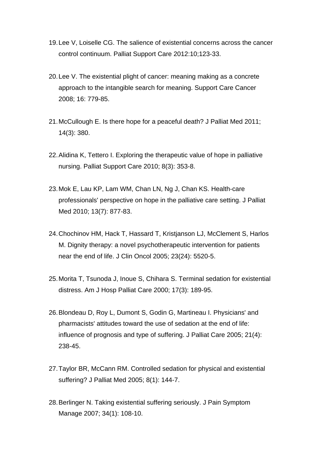- 19.Lee V, Loiselle CG. The salience of existential concerns across the cancer control continuum. Palliat Support Care 2012:10;123-33.
- 20.Lee V. The existential plight of cancer: meaning making as a concrete approach to the intangible search for meaning. Support Care Cancer 2008; 16: 779-85.
- 21.McCullough E. Is there hope for a peaceful death? J Palliat Med 2011; 14(3): 380.
- 22.Alidina K, Tettero I. Exploring the therapeutic value of hope in palliative nursing. Palliat Support Care 2010; 8(3): 353-8.
- 23.Mok E, Lau KP, Lam WM, Chan LN, Ng J, Chan KS. Health-care professionals' perspective on hope in the palliative care setting. J Palliat Med 2010; 13(7): 877-83.
- 24.Chochinov HM, Hack T, Hassard T, Kristjanson LJ, McClement S, Harlos M. Dignity therapy: a novel psychotherapeutic intervention for patients near the end of life. J Clin Oncol 2005; 23(24): 5520-5.
- 25.Morita T, Tsunoda J, Inoue S, Chihara S. Terminal sedation for existential distress. Am J Hosp Palliat Care 2000; 17(3): 189-95.
- 26.Blondeau D, Roy L, Dumont S, Godin G, Martineau I. Physicians' and pharmacists' attitudes toward the use of sedation at the end of life: influence of prognosis and type of suffering. J Palliat Care 2005; 21(4): 238-45.
- 27.Taylor BR, McCann RM. Controlled sedation for physical and existential suffering? J Palliat Med 2005; 8(1): 144-7.
- 28.Berlinger N. Taking existential suffering seriously. J Pain Symptom Manage 2007; 34(1): 108-10.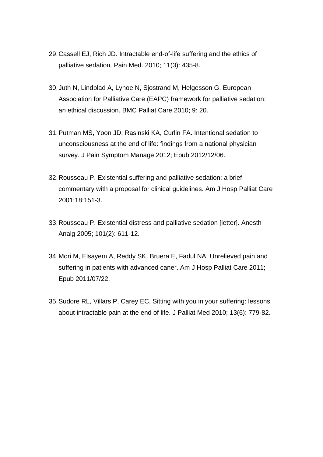- 29.Cassell EJ, Rich JD. Intractable end-of-life suffering and the ethics of palliative sedation. Pain Med. 2010; 11(3): 435-8.
- 30.Juth N, Lindblad A, Lynoe N, Sjostrand M, Helgesson G. European Association for Palliative Care (EAPC) framework for palliative sedation: an ethical discussion. BMC Palliat Care 2010; 9: 20.
- 31.Putman MS, Yoon JD, Rasinski KA, Curlin FA. Intentional sedation to unconsciousness at the end of life: findings from a national physician survey. J Pain Symptom Manage 2012; Epub 2012/12/06.
- 32.Rousseau P. Existential suffering and palliative sedation: a brief commentary with a proposal for clinical guidelines. Am J Hosp Palliat Care 2001;18:151-3.
- 33.Rousseau P. Existential distress and palliative sedation [letter]. Anesth Analg 2005; 101(2): 611-12.
- 34.Mori M, Elsayem A, Reddy SK, Bruera E, Fadul NA. Unrelieved pain and suffering in patients with advanced caner. Am J Hosp Palliat Care 2011; Epub 2011/07/22.
- 35.Sudore RL, Villars P, Carey EC. Sitting with you in your suffering: lessons about intractable pain at the end of life. J Palliat Med 2010; 13(6): 779-82.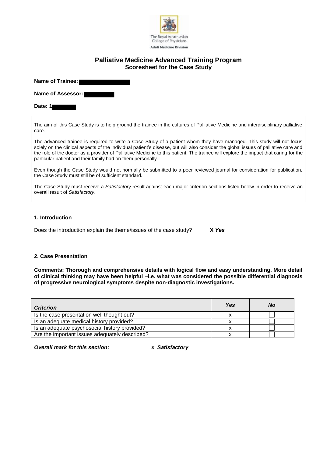

# **Palliative Medicine Advanced Training Program Scoresheet for the Case Study**

**Name of Trainee:** 

**Name of Assessor:** 

#### **Date: 1**

The aim of this Case Study is to help ground the trainee in the cultures of Palliative Medicine and interdisciplinary palliative care.

The advanced trainee is required to write a Case Study of a patient whom they have managed. This study will not focus solely on the clinical aspects of the individual patient's disease, but will also consider the global issues of palliative care and the role of the doctor as a provider of Palliative Medicine to this patient. The trainee will explore the impact that caring for the particular patient and their family had on them personally.

Even though the Case Study would not normally be submitted to a peer reviewed journal for consideration for publication, the Case Study must still be of sufficient standard.

The Case Study must receive a *Satisfactory* result against each major criterion sections listed below in order to receive an overall result of *Satisfactory*.

#### **1. Introduction**

Does the introduction explain the theme/issues of the case study? **X** *Yes* 

#### **2. Case Presentation**

**Comments: Thorough and comprehensive details with logical flow and easy understanding. More detail of clinical thinking may have been helpful –i.e. what was considered the possible differential diagnosis of progressive neurological symptoms despite non-diagnostic investigations.** 

| <b>Criterion</b>                               | Yes | <b>No</b> |
|------------------------------------------------|-----|-----------|
| Is the case presentation well thought out?     |     |           |
| Is an adequate medical history provided?       |     |           |
| Is an adequate psychosocial history provided?  |     |           |
| Are the important issues adequately described? |     |           |

*Overall mark for this section: x Satisfactory*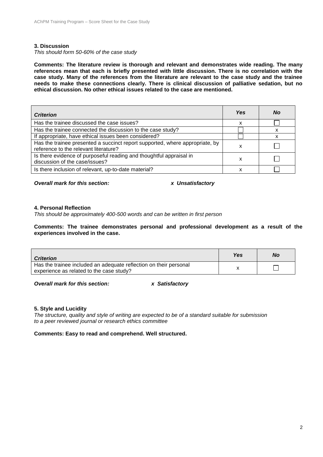#### **3. Discussion**

*This should form 50-60% of the case study*

**Comments: The literature review is thorough and relevant and demonstrates wide reading. The many references mean that each is briefly presented with little discussion. There is no correlation with the case study. Many of the references from the literature are relevant to the case study and the trainee needs to make these connections clearly. There is clinical discussion of palliative sedation, but no ethical discussion. No other ethical issues related to the case are mentioned.**

| <b>Criterion</b>                                                                                                      | <b>Yes</b> | <b>No</b> |
|-----------------------------------------------------------------------------------------------------------------------|------------|-----------|
| Has the trainee discussed the case issues?                                                                            | x          |           |
| Has the trainee connected the discussion to the case study?                                                           |            |           |
| If appropriate, have ethical issues been considered?                                                                  |            |           |
| Has the trainee presented a succinct report supported, where appropriate, by<br>reference to the relevant literature? | х          |           |
| Is there evidence of purposeful reading and thoughtful appraisal in<br>discussion of the case/issues?                 | x          |           |
| Is there inclusion of relevant, up-to-date material?                                                                  | х          |           |

*Overall mark for this section: x Unsatisfactory*

#### **4. Personal Reflection**

*This should be approximately 400-500 words and can be written in first person*

**Comments: The trainee demonstrates personal and professional development as a result of the experiences involved in the case.**

| <b>Criterion</b>                                                                                              | Yes | No |
|---------------------------------------------------------------------------------------------------------------|-----|----|
| Has the trainee included an adequate reflection on their personal<br>experience as related to the case study? |     |    |
|                                                                                                               |     |    |

*Overall mark for this section: x Satisfactory*

#### **5. Style and Lucidity**

*The structure, quality and style of writing are expected to be of a standard suitable for submission to a peer reviewed journal or research ethics committee*

**Comments: Easy to read and comprehend. Well structured.**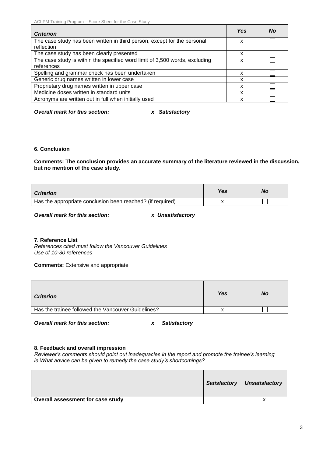| <b>Criterion</b>                                                                       | <b>Yes</b> | No |
|----------------------------------------------------------------------------------------|------------|----|
| The case study has been written in third person, except for the personal<br>reflection | x          |    |
| The case study has been clearly presented                                              | x          |    |
| The case study is within the specified word limit of 3,500 words, excluding            | x          |    |
| references                                                                             |            |    |
| Spelling and grammar check has been undertaken                                         | x          |    |
| Generic drug names written in lower case                                               | x          |    |
| Proprietary drug names written in upper case                                           | x          |    |
| Medicine doses written in standard units                                               | x          |    |
| Acronyms are written out in full when initially used                                   | x          |    |

*Overall mark for this section: x Satisfactory*

### **6. Conclusion**

**Comments: The conclusion provides an accurate summary of the literature reviewed in the discussion, but no mention of the case study.**

| <b>Criterion</b>                                           | Yes | No |
|------------------------------------------------------------|-----|----|
| Has the appropriate conclusion been reached? (if required) |     |    |

*Overall mark for this section: x Unsatisfactory*

#### **7. Reference List**

*References cited must follow the Vancouver Guidelines Use of 10-30 references*

**Comments:** Extensive and appropriate

| Yes | No |
|-----|----|
|     |    |
|     |    |

*Overall mark for this section: x Satisfactory*

#### **8. Feedback and overall impression**

*Reviewer's comments should point out inadequacies in the report and promote the trainee's learning ie What advice can be given to remedy the case study's shortcomings?*

|                                   | <b>Satisfactory</b> | Unsatisfactory |
|-----------------------------------|---------------------|----------------|
| Overall assessment for case study |                     |                |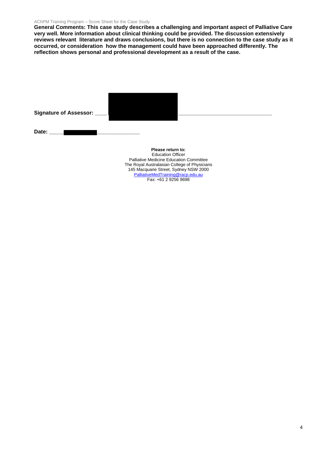#### AChPM Training Program – Score Sheet for the Case Study

**General Comments: This case study describes a challenging and important aspect of Palliative Care very well. More information about clinical thinking could be provided. The discussion extensively reviews relevant literature and draws conclusions, but there is no connection to the case study as it occurred, or consideration how the management could have been approached differently. The reflection shows personal and professional development as a result of the case.** 

| Signature of Assessor: ____ |                   |
|-----------------------------|-------------------|
| Date:                       |                   |
|                             | Please return to: |

Education Officer Palliative Medicine Education Committee The Royal Australasian College of Physicians 145 Macquarie Street, Sydney NSW 2000 [PalliativeMedTraining@racp.edu.au](mailto:PalliativeMedTraining@racp.edu.au) Fax: +61 2 9256 9698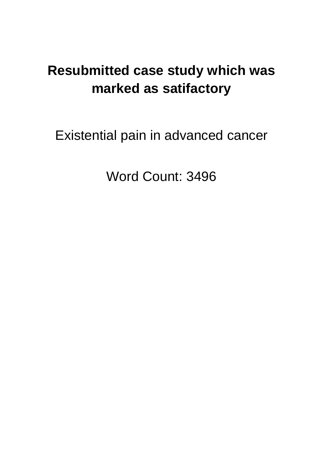# **Resubmitted case study which was marked as satifactory**

Existential pain in advanced cancer

Word Count: 3496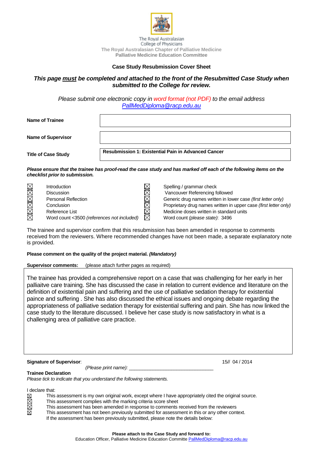

The Royal Australasian College of Physicians **The Royal Australasian Chapter of Palliative Medicine Palliative Medicine Education Committee**

#### **Case Study Resubmission Cover Sheet**

### *This page must be completed and attached to the front of the Resubmitted Case Study when submitted to the College for review.*

*Please submit one electronic copy in word format (not PDF) to the email address [PallMedDiploma@racp.edu.au](mailto:PallMedDiploma@racp.edu.au)*

| Name of Trainee                |                                                                                                                    |
|--------------------------------|--------------------------------------------------------------------------------------------------------------------|
| <b>Name of Supervisor</b>      |                                                                                                                    |
| <b>Title of Case Study</b>     | <b>Resubmission 1: Existential Pain in Advanced Cancer</b>                                                         |
| checklist prior to submission. | Please ensure that the trainee has proof-read the case study and has marked off each of the following items on the |

| Introduction                               |  |
|--------------------------------------------|--|
| <b>Discussion</b>                          |  |
| <b>Personal Reflection</b>                 |  |
| Conclusion                                 |  |
| Reference List                             |  |
| Word count <3500 (references not included) |  |

Spelling / grammar check Vancouver Referencing followed Generic drug names written in lower case *(first letter only)* Proprietary drug names written in upper case *(first letter only)* Medicine doses written in standard units Word count *(please state)*: 3496

The trainee and supervisor confirm that this resubmission has been amended in response to comments received from the reviewers. Where recommended changes have not been made, a separate explanatory note is provided.

#### **Please comment on the quality of the project material.** *(Mandatory)*

**Supervisor comments:** (please attach further pages as required)

The trainee has provided a comprehensive report on a case that was challenging for her early in her palliaitve care training. She has discussed the case in relation to current evidence and literature on the definition of existential pain and suffering and the use of palliative sedation therapy for existential paince and suffering . She has also discussed the ethical issues and ongoing debate regarding the appropriateness of palliative sedation therapy for existential suffering and pain. She has now linked the case study to the literature discussed. I believe her case study is now satisfactory in what is a challenging area of palliative care practice.

#### **Signature of Supervisor**: 15// 04 / 2014

*(Please print name):* \_\_\_\_\_\_\_\_\_\_\_\_\_\_\_\_\_\_\_\_\_\_\_\_\_\_\_\_\_\_\_\_

#### **Trainee Declaration**

*Please tick to indicate that you understand the following statements.*

I declare that:<br>  $\boxtimes$  This<br>  $\boxtimes$  This<br>  $\boxtimes$  This

⊠

- This assessment is my own original work, except where I have appropriately cited the original source.
- This assessment complies with the marking criteria score sheet
	- This assessment has been amended in response to comments received from the reviewers
	- This assessment has not been previously submitted for assessment in this or any other context.
		- If the assessment has been previously submitted, please note the details below: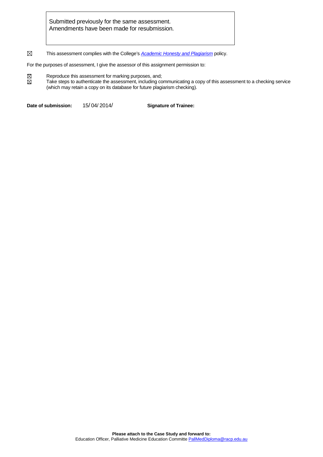Submitted previously for the same assessment. Amendments have been made for resubmission.

 $\boxtimes$ This assessment complies with the College's *[Academic Honesty](http://www.racp.edu.au/download.cfm?downloadfile=FFA5A951-BFA0-29BB-53EF9B3A70554BCF&typename=dmFile&fieldname=filename) and Plagiarism* policy.

For the purposes of assessment, I give the assessor of this assignment permission to:

 $\boxtimes \boxtimes$ Reproduce this assessment for marking purposes, and;

Take steps to authenticate the assessment, including communicating a copy of this assessment to a checking service (which may retain a copy on its database for future plagiarism checking).

**Date of submission:** 15/ 04/ 2014/ **Signature of Trainee:**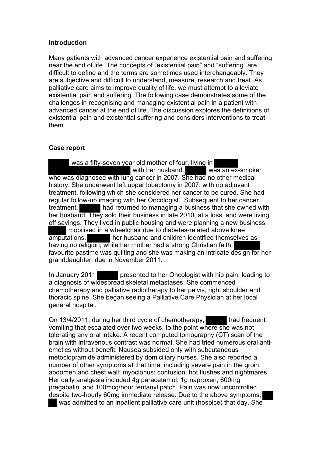# **Introduction**

Many patients with advanced cancer experience existential pain and suffering near the end of life. The concepts of "existential pain" and "suffering" are difficult to define and the terms are sometimes used interchangeably. They are subjective and difficult to understand, measure, research and treat. As palliative care aims to improve quality of life, we must attempt to alleviate existential pain and suffering. The following case demonstrates some of the challenges in recognising and managing existential pain in a patient with advanced cancer at the end of life. The discussion explores the definitions of existential pain and existential suffering and considers interventions to treat them.

# **Case report**

 was a fifty-seven year old mother of four, living in with her husband. was an ex-smoker who was diagnosed with lung cancer in 2007. She had no other medical history. She underwent left upper lobectomy in 2007, with no adjuvant treatment, following which she considered her cancer to be cured. She had regular follow-up imaging with her Oncologist. Subsequent to her cancer treatment, had returned to managing a business that she owned with her husband. They sold their business in late 2010, at a loss, and were living off savings. They lived in public housing and were planning a new business. mobilised in a wheelchair due to diabetes-related above knee amputations. her husband and children identified themselves as having no religion, while her mother had a strong Christian faith. favourite pastime was quilting and she was making an intricate design for her granddaughter, due in November 2011.

In January 2011 presented to her Oncologist with hip pain, leading to a diagnosis of widespread skeletal metastases. She commenced chemotherapy and palliative radiotherapy to her pelvis, right shoulder and thoracic spine. She began seeing a Palliative Care Physician at her local general hospital.

On 13/4/2011, during her third cycle of chemotherapy, had frequent vomiting that escalated over two weeks, to the point where she was not tolerating any oral intake. A recent computed tomography (CT) scan of the brain with intravenous contrast was normal. She had tried numerous oral antiemetics without benefit. Nausea subsided only with subcutaneous metoclopramide administered by domiciliary nurses. She also reported a number of other symptoms at that time, including severe pain in the groin, abdomen and chest wall; myoclonus; confusion; hot flushes and nightmares. Her daily analgesia included 4g paracetamol, 1g naproxen, 600mg pregabalin, and 100mcg/hour fentanyl patch. Pain was now uncontrolled despite two-hourly 60mg immediate release. Due to the above symptoms, was admitted to an inpatient palliative care unit (hospice) that day. She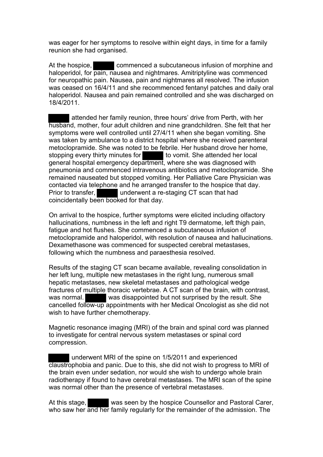was eager for her symptoms to resolve within eight days, in time for a family reunion she had organised.

At the hospice, commenced a subcutaneous infusion of morphine and haloperidol, for pain, nausea and nightmares. Amitriptyline was commenced for neuropathic pain. Nausea, pain and nightmares all resolved. The infusion was ceased on 16/4/11 and she recommenced fentanyl patches and daily oral haloperidol. Nausea and pain remained controlled and she was discharged on 18/4/2011.

attended her family reunion, three hours' drive from Perth, with her husband, mother, four adult children and nine grandchildren. She felt that her symptoms were well controlled until 27/4/11 when she began vomiting. She was taken by ambulance to a district hospital where she received parenteral metoclopramide. She was noted to be febrile. Her husband drove her home, stopping every thirty minutes for the vomit. She attended her local general hospital emergency department, where she was diagnosed with pneumonia and commenced intravenous antibiotics and metoclopramide. She remained nauseated but stopped vomiting. Her Palliative Care Physician was contacted via telephone and he arranged transfer to the hospice that day. Prior to transfer, underwent a re-staging CT scan that had coincidentally been booked for that day.

On arrival to the hospice, further symptoms were elicited including olfactory hallucinations, numbness in the left and right T9 dermatome, left thigh pain, fatigue and hot flushes. She commenced a subcutaneous infusion of metoclopramide and haloperidol, with resolution of nausea and hallucinations. Dexamethasone was commenced for suspected cerebral metastases, following which the numbness and paraesthesia resolved.

Results of the staging CT scan became available, revealing consolidation in her left lung, multiple new metastases in the right lung, numerous small hepatic metastases, new skeletal metastases and pathological wedge fractures of multiple thoracic vertebrae. A CT scan of the brain, with contrast, was normal. was disappointed but not surprised by the result. She cancelled follow-up appointments with her Medical Oncologist as she did not wish to have further chemotherapy.

Magnetic resonance imaging (MRI) of the brain and spinal cord was planned to investigate for central nervous system metastases or spinal cord compression.

underwent MRI of the spine on 1/5/2011 and experienced claustrophobia and panic. Due to this, she did not wish to progress to MRI of the brain even under sedation, nor would she wish to undergo whole brain radiotherapy if found to have cerebral metastases. The MRI scan of the spine was normal other than the presence of vertebral metastases.

At this stage, was seen by the hospice Counsellor and Pastoral Carer, who saw her and her family regularly for the remainder of the admission. The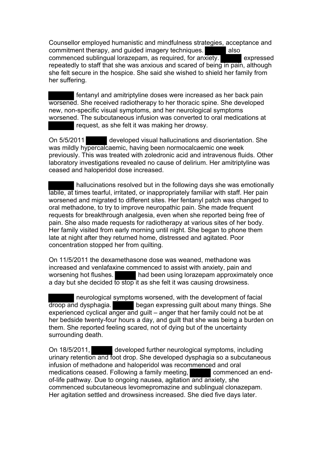Counsellor employed humanistic and mindfulness strategies, acceptance and commitment therapy, and guided imagery techniques. also commenced sublingual lorazepam, as required, for anxiety. expressed repeatedly to staff that she was anxious and scared of being in pain, although she felt secure in the hospice. She said she wished to shield her family from her suffering.

 fentanyl and amitriptyline doses were increased as her back pain worsened. She received radiotherapy to her thoracic spine. She developed new, non-specific visual symptoms, and her neurological symptoms worsened. The subcutaneous infusion was converted to oral medications at request, as she felt it was making her drowsy.

On 5/5/2011 developed visual hallucinations and disorientation. She was mildly hypercalcaemic, having been normocalcaemic one week previously. This was treated with zoledronic acid and intravenous fluids. Other laboratory investigations revealed no cause of delirium. Her amitriptyline was ceased and haloperidol dose increased.

 hallucinations resolved but in the following days she was emotionally labile, at times tearful, irritated, or inappropriately familiar with staff. Her pain worsened and migrated to different sites. Her fentanyl patch was changed to oral methadone, to try to improve neuropathic pain. She made frequent requests for breakthrough analgesia, even when she reported being free of pain. She also made requests for radiotherapy at various sites of her body. Her family visited from early morning until night. She began to phone them late at night after they returned home, distressed and agitated. Poor concentration stopped her from quilting.

On 11/5/2011 the dexamethasone dose was weaned, methadone was increased and venlafaxine commenced to assist with anxiety, pain and worsening hot flushes. had been using lorazepam approximately once a day but she decided to stop it as she felt it was causing drowsiness.

 neurological symptoms worsened, with the development of facial droop and dysphagia. began expressing guilt about many things. She experienced cyclical anger and guilt – anger that her family could not be at her bedside twenty-four hours a day, and guilt that she was being a burden on them. She reported feeling scared, not of dying but of the uncertainty surrounding death.

On 18/5/2011, developed further neurological symptoms, including urinary retention and foot drop. She developed dysphagia so a subcutaneous infusion of methadone and haloperidol was recommenced and oral medications ceased. Following a family meeting, commenced an endof-life pathway. Due to ongoing nausea, agitation and anxiety, she commenced subcutaneous levomepromazine and sublingual clonazepam. Her agitation settled and drowsiness increased. She died five days later.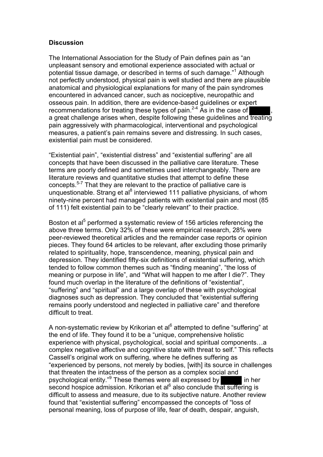# **Discussion**

The International Association for the Study of Pain defines pain as "an unpleasant sensory and emotional experience associated with actual or potential tissue damage, or described in terms of such damage."<sup>1</sup> Although not perfectly understood, physical pain is well studied and there are plausible anatomical and physiological explanations for many of the pain syndromes encountered in advanced cancer, such as nociceptive, neuropathic and osseous pain. In addition, there are evidence-based guidelines or expert recommendations for treating these types of pain.<sup>2-4</sup> As in the case of  $\blacksquare$ , a great challenge arises when, despite following these guidelines and treating pain aggressively with pharmacological, interventional and psychological measures, a patient's pain remains severe and distressing. In such cases, existential pain must be considered.

"Existential pain", "existential distress" and "existential suffering" are all concepts that have been discussed in the palliative care literature. These terms are poorly defined and sometimes used interchangeably. There are literature reviews and quantitative studies that attempt to define these concepts.5-7 That they are relevant to the practice of palliative care is unquestionable. Strang et al<sup>8</sup> interviewed 111 palliative physicians, of whom ninety-nine percent had managed patients with existential pain and most (85 of 111) felt existential pain to be "clearly relevant" to their practice.

Boston et al<sup>5</sup> performed a systematic review of 156 articles referencing the above three terms. Only 32% of these were empirical research, 28% were peer-reviewed theoretical articles and the remainder case reports or opinion pieces. They found 64 articles to be relevant, after excluding those primarily related to spirituality, hope, transcendence, meaning, physical pain and depression. They identified fifty-six definitions of existential suffering, which tended to follow common themes such as "finding meaning", "the loss of meaning or purpose in life", and "What will happen to me after I die?". They found much overlap in the literature of the definitions of "existential", "suffering" and "spiritual" and a large overlap of these with psychological diagnoses such as depression. They concluded that "existential suffering remains poorly understood and neglected in palliative care" and therefore difficult to treat.

A non-systematic review by Krikorian et al<sup>6</sup> attempted to define "suffering" at the end of life. They found it to be a "unique, comprehensive holistic experience with physical, psychological, social and spiritual components…a complex negative affective and cognitive state with threat to self." This reflects Cassell's original work on suffering, where he defines suffering as "experienced by persons, not merely by bodies, [with] its source in challenges that threaten the intactness of the person as a complex social and psychological entity."<sup>9</sup> These themes were all expressed by in her second hospice admission. Krikorian et al<sup>6</sup> also conclude that suffering is difficult to assess and measure, due to its subjective nature. Another review found that "existential suffering" encompassed the concepts of "loss of personal meaning, loss of purpose of life, fear of death, despair, anguish,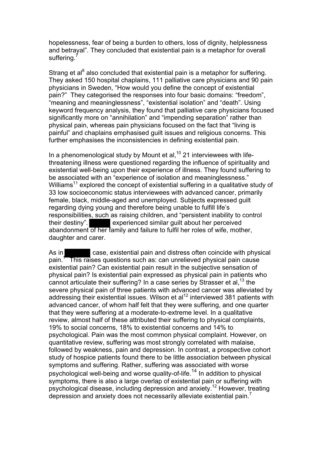hopelessness, fear of being a burden to others, loss of dignity, helplessness and betrayal". They concluded that existential pain is a metaphor for overall suffering.

Strang et al<sup>8</sup> also concluded that existential pain is a metaphor for suffering. They asked 150 hospital chaplains, 111 palliative care physicians and 90 pain physicians in Sweden, "How would you define the concept of existential pain?" They categorised the responses into four basic domains: "freedom", "meaning and meaninglessness", "existential isolation" and "death". Using keyword frequency analysis, they found that palliative care physicians focused significantly more on "annihilation" and "impending separation" rather than physical pain, whereas pain physicians focused on the fact that "living is painful" and chaplains emphasised guilt issues and religious concerns. This further emphasises the inconsistencies in defining existential pain.

In a phenomenological study by Mount et al,  $10$  21 interviewees with lifethreatening illness were questioned regarding the influence of spirituality and existential well-being upon their experience of illness. They found suffering to be associated with an "experience of isolation and meaninglessness." Williams<sup>11</sup> explored the concept of existential suffering in a qualitative study of 33 low socioeconomic status interviewees with advanced cancer, primarily female, black, middle-aged and unemployed. Subjects expressed guilt regarding dying young and therefore being unable to fulfill life's responsibilities, such as raising children, and "persistent inability to control their destiny". experienced similar quilt about her perceived abandonment of her family and failure to fulfil her roles of wife, mother, daughter and carer.

As in **case, existential pain and distress often coincide with physical** pain.<sup>1</sup> This raises questions such as: can unrelieved physical pain cause existential pain? Can existential pain result in the subjective sensation of physical pain? Is existential pain expressed as physical pain in patients who cannot articulate their suffering? In a case series by Strasser et al,  $^{13}$  the severe physical pain of three patients with advanced cancer was alleviated by addressing their existential issues. Wilson et al<sup>12</sup> interviewed 381 patients with advanced cancer, of whom half felt that they were suffering, and one quarter that they were suffering at a moderate-to-extreme level. In a qualitative review, almost half of these attributed their suffering to physical complaints, 19% to social concerns, 18% to existential concerns and 14% to psychological. Pain was the most common physical complaint. However, on quantitative review, suffering was most strongly correlated with malaise, followed by weakness, pain and depression. In contrast, a prospective cohort study of hospice patients found there to be little association between physical symptoms and suffering. Rather, suffering was associated with worse psychological well-being and worse quality-of-life.<sup>14</sup> In addition to physical symptoms, there is also a large overlap of existential pain or suffering with psychological disease, including depression and anxiety.<sup>12</sup> However, treating depression and anxiety does not necessarily alleviate existential pain.<sup>7</sup>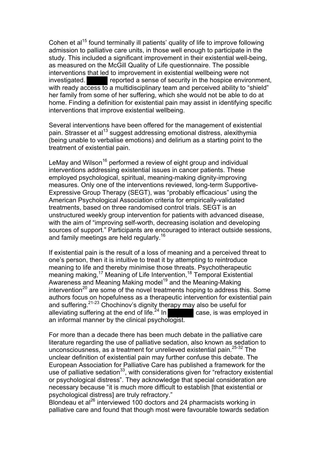Cohen et al<sup>15</sup> found terminally ill patients' quality of life to improve following admission to palliative care units, in those well enough to participate in the study. This included a significant improvement in their existential well-being, as measured on the McGill Quality of Life questionnaire. The possible interventions that led to improvement in existential wellbeing were not investigated. **reported a sense of security in the hospice environment,** with ready access to a multidisciplinary team and perceived ability to "shield" her family from some of her suffering, which she would not be able to do at home. Finding a definition for existential pain may assist in identifying specific interventions that improve existential wellbeing.

Several interventions have been offered for the management of existential pain. Strasser et al<sup>13</sup> suggest addressing emotional distress, alexithymia (being unable to verbalise emotions) and delirium as a starting point to the treatment of existential pain.

LeMay and Wilson<sup>16</sup> performed a review of eight group and individual interventions addressing existential issues in cancer patients. These employed psychological, spiritual, meaning-making dignity-improving measures. Only one of the interventions reviewed, long-term Supportive-Expressive Group Therapy (SEGT), was "probably efficacious" using the American Psychological Association criteria for empirically-validated treatments, based on three randomised control trials. SEGT is an unstructured weekly group intervention for patients with advanced disease, with the aim of "improving self-worth, decreasing isolation and developing sources of support." Participants are encouraged to interact outside sessions, and family meetings are held regularly.<sup>16</sup>

If existential pain is the result of a loss of meaning and a perceived threat to one's person, then it is intuitive to treat it by attempting to reintroduce meaning to life and thereby minimise those threats. Psychotherapeutic meaning making,<sup>17</sup> Meaning of Life Intervention,<sup>18</sup> Temporal Existential Awareness and Meaning Making model<sup>19</sup> and the Meaning-Making  $intervention<sup>20</sup>$  are some of the novel treatments hoping to address this. Some authors focus on hopefulness as a therapeutic intervention for existential pain and suffering.21-23 Chochinov's dignity therapy may also be useful for alleviating suffering at the end of life.  $^{24}$  In  $\blacksquare$  case, is was employed in an informal manner by the clinical psychologist.

For more than a decade there has been much debate in the palliative care literature regarding the use of palliative sedation, also known as sedation to unconsciousness, as a treatment for unrelieved existential pain.25-32 The unclear definition of existential pain may further confuse this debate. The European Association for Palliative Care has published a framework for the use of palliative sedation<sup>33</sup>, with considerations given for "refractory existential" or psychological distress". They acknowledge that special consideration are necessary because "it is much more difficult to establish [that existential or psychological distress] are truly refractory."

Blondeau et al $^{26}$  interviewed 100 doctors and 24 pharmacists working in palliative care and found that though most were favourable towards sedation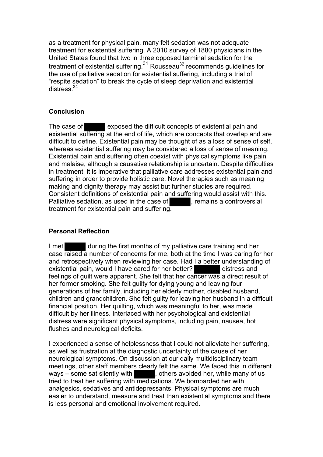as a treatment for physical pain, many felt sedation was not adequate treatment for existential suffering. A 2010 survey of 1880 physicians in the United States found that two in three opposed terminal sedation for the treatment of existential suffering.<sup>31</sup> Rousseau<sup>32</sup> recommends guidelines for the use of palliative sedation for existential suffering, including a trial of "respite sedation" to break the cycle of sleep deprivation and existential  $districes$ <sup>34</sup>

# **Conclusion**

The case of exposed the difficult concepts of existential pain and existential suffering at the end of life, which are concepts that overlap and are difficult to define. Existential pain may be thought of as a loss of sense of self, whereas existential suffering may be considered a loss of sense of meaning. Existential pain and suffering often coexist with physical symptoms like pain and malaise, although a causative relationship is uncertain. Despite difficulties in treatment, it is imperative that palliative care addresses existential pain and suffering in order to provide holistic care. Novel therapies such as meaning making and dignity therapy may assist but further studies are required. Consistent definitions of existential pain and suffering would assist with this. Palliative sedation, as used in the case of **Fig. 1.1.**, remains a controversial treatment for existential pain and suffering.

# **Personal Reflection**

I met during the first months of my palliative care training and her case raised a number of concerns for me, both at the time I was caring for her and retrospectively when reviewing her case. Had I a better understanding of existential pain, would I have cared for her better? distress and feelings of guilt were apparent. She felt that her cancer was a direct result of her former smoking. She felt guilty for dying young and leaving four generations of her family, including her elderly mother, disabled husband, children and grandchildren. She felt guilty for leaving her husband in a difficult financial position. Her quilting, which was meaningful to her, was made difficult by her illness. Interlaced with her psychological and existential distress were significant physical symptoms, including pain, nausea, hot flushes and neurological deficits.

I experienced a sense of helplessness that I could not alleviate her suffering, as well as frustration at the diagnostic uncertainty of the cause of her neurological symptoms. On discussion at our daily multidisciplinary team meetings, other staff members clearly felt the same. We faced this in different ways  $-$  some sat silently with  $\blacksquare$ , others avoided her, while many of us tried to treat her suffering with medications. We bombarded her with analgesics, sedatives and antidepressants. Physical symptoms are much easier to understand, measure and treat than existential symptoms and there is less personal and emotional involvement required.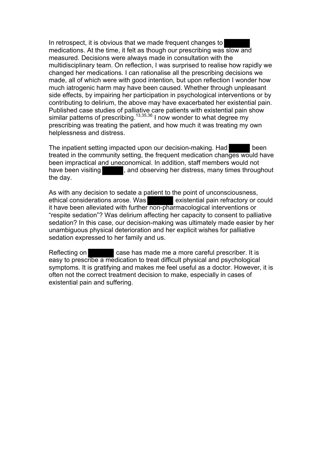In retrospect, it is obvious that we made frequent changes to medications. At the time, it felt as though our prescribing was slow and measured. Decisions were always made in consultation with the multidisciplinary team. On reflection, I was surprised to realise how rapidly we changed her medications. I can rationalise all the prescribing decisions we made, all of which were with good intention, but upon reflection I wonder how much iatrogenic harm may have been caused. Whether through unpleasant side effects, by impairing her participation in psychological interventions or by contributing to delirium, the above may have exacerbated her existential pain. Published case studies of palliative care patients with existential pain show similar patterns of prescribing.13,35,36 I now wonder to what degree my prescribing was treating the patient, and how much it was treating my own helplessness and distress.

The inpatient setting impacted upon our decision-making. Had been treated in the community setting, the frequent medication changes would have been impractical and uneconomical. In addition, staff members would not have been visiting **the same of the serving her distress, many times throughout** the day.

As with any decision to sedate a patient to the point of unconsciousness, ethical considerations arose. Was existential pain refractory or could it have been alleviated with further non-pharmacological interventions or "respite sedation"? Was delirium affecting her capacity to consent to palliative sedation? In this case, our decision-making was ultimately made easier by her unambiguous physical deterioration and her explicit wishes for palliative sedation expressed to her family and us.

Reflecting on **case has made me a more careful prescriber.** It is easy to prescribe a medication to treat difficult physical and psychological symptoms. It is gratifying and makes me feel useful as a doctor. However, it is often not the correct treatment decision to make, especially in cases of existential pain and suffering.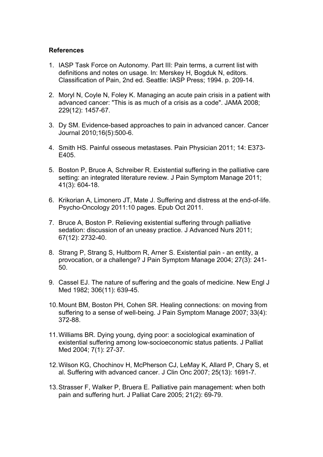# **References**

- 1. IASP Task Force on Autonomy. Part III: Pain terms, a current list with definitions and notes on usage. In: Merskey H, Bogduk N, editors. Classification of Pain, 2nd ed. Seattle: IASP Press; 1994. p. 209-14.
- 2. Moryl N, Coyle N, Foley K. Managing an acute pain crisis in a patient with advanced cancer: "This is as much of a crisis as a code". JAMA 2008; 229(12): 1457-67.
- 3. Dy SM. Evidence-based approaches to pain in advanced cancer. Cancer Journal 2010;16(5):500-6.
- 4. Smith HS. Painful osseous metastases. Pain Physician 2011; 14: E373- E405.
- 5. Boston P, Bruce A, Schreiber R. Existential suffering in the palliative care setting: an integrated literature review. J Pain Symptom Manage 2011; 41(3): 604-18.
- 6. Krikorian A, Limonero JT, Mate J. Suffering and distress at the end-of-life. Psycho-Oncology 2011:10 pages. Epub Oct 2011.
- 7. Bruce A, Boston P. Relieving existential suffering through palliative sedation: discussion of an uneasy practice. J Advanced Nurs 2011; 67(12): 2732-40.
- 8. Strang P, Strang S, Hultborn R, Arner S. Existential pain an entity, a provocation, or a challenge? J Pain Symptom Manage 2004; 27(3): 241- 50.
- 9. Cassel EJ. The nature of suffering and the goals of medicine. New Engl J Med 1982; 306(11): 639-45.
- 10.Mount BM, Boston PH, Cohen SR. Healing connections: on moving from suffering to a sense of well-being. J Pain Symptom Manage 2007; 33(4): 372-88.
- 11.Williams BR. Dying young, dying poor: a sociological examination of existential suffering among low-socioeconomic status patients. J Palliat Med 2004; 7(1): 27-37.
- 12.Wilson KG, Chochinov H, McPherson CJ, LeMay K, Allard P, Chary S, et al. Suffering with advanced cancer. J Clin Onc 2007; 25(13): 1691-7.
- 13.Strasser F, Walker P, Bruera E. Palliative pain management: when both pain and suffering hurt. J Palliat Care 2005; 21(2): 69-79.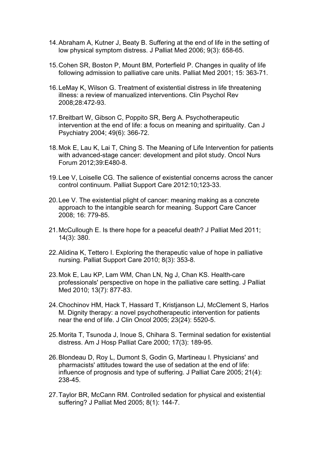- 14.Abraham A, Kutner J, Beaty B. Suffering at the end of life in the setting of low physical symptom distress. J Palliat Med 2006; 9(3): 658-65.
- 15.Cohen SR, Boston P, Mount BM, Porterfield P. Changes in quality of life following admission to palliative care units. Palliat Med 2001; 15: 363-71.
- 16.LeMay K, Wilson G. Treatment of existential distress in life threatening illness: a review of manualized interventions. Clin Psychol Rev 2008;28:472-93.
- 17.Breitbart W, Gibson C, Poppito SR, Berg A. Psychotherapeutic intervention at the end of life: a focus on meaning and spirituality. Can J Psychiatry 2004; 49(6): 366-72.
- 18.Mok E, Lau K, Lai T, Ching S. The Meaning of Life Intervention for patients with advanced-stage cancer: development and pilot study. Oncol Nurs Forum 2012;39:E480-8.
- 19.Lee V, Loiselle CG. The salience of existential concerns across the cancer control continuum. Palliat Support Care 2012:10;123-33.
- 20.Lee V. The existential plight of cancer: meaning making as a concrete approach to the intangible search for meaning. Support Care Cancer 2008; 16: 779-85.
- 21.McCullough E. Is there hope for a peaceful death? J Palliat Med 2011; 14(3): 380.
- 22.Alidina K, Tettero I. Exploring the therapeutic value of hope in palliative nursing. Palliat Support Care 2010; 8(3): 353-8.
- 23.Mok E, Lau KP, Lam WM, Chan LN, Ng J, Chan KS. Health-care professionals' perspective on hope in the palliative care setting. J Palliat Med 2010; 13(7): 877-83.
- 24.Chochinov HM, Hack T, Hassard T, Kristjanson LJ, McClement S, Harlos M. Dignity therapy: a novel psychotherapeutic intervention for patients near the end of life. J Clin Oncol 2005; 23(24): 5520-5.
- 25.Morita T, Tsunoda J, Inoue S, Chihara S. Terminal sedation for existential distress. Am J Hosp Palliat Care 2000; 17(3): 189-95.
- 26.Blondeau D, Roy L, Dumont S, Godin G, Martineau I. Physicians' and pharmacists' attitudes toward the use of sedation at the end of life: influence of prognosis and type of suffering. J Palliat Care 2005; 21(4): 238-45.
- 27.Taylor BR, McCann RM. Controlled sedation for physical and existential suffering? J Palliat Med 2005; 8(1): 144-7.